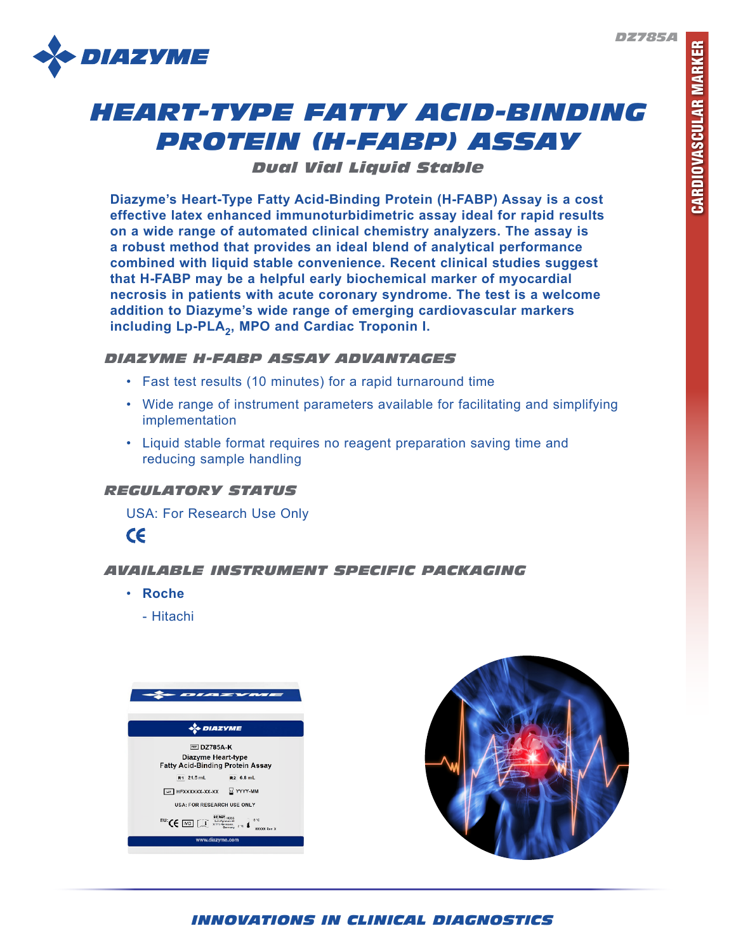

# *HEART-TYPE FATTY ACID-BINDING PROTEIN (H-FABP) ASSAY*

*Dual Vial Liquid Stable*

**Diazyme's Heart-Type Fatty Acid-Binding Protein (H-FABP) Assay is a cost effective latex enhanced immunoturbidimetric assay ideal for rapid results on a wide range of automated clinical chemistry analyzers. The assay is a robust method that provides an ideal blend of analytical performance combined with liquid stable convenience. Recent clinical studies suggest that H-FABP may be a helpful early biochemical marker of myocardial necrosis in patients with acute coronary syndrome. The test is a welcome addition to Diazyme's wide range of emerging cardiovascular markers**  including Lp-PLA<sub>2</sub>, MPO and Cardiac Troponin I.

## *DIAZYME H-FABP ASSAY ADVANTAGES*

- Fast test results (10 minutes) for a rapid turnaround time
- Wide range of instrument parameters available for facilitating and simplifying implementation
- Liquid stable format requires no reagent preparation saving time and reducing sample handling

## *REGULATORY STATUS*

USA: For Research Use Only



## *AVAILABLE INSTRUMENT SPECIFIC PACKAGING*

- **Roche**
	- Hitachi





# *INNOVATIONS IN CLINICAL DIAGNOSTICS*